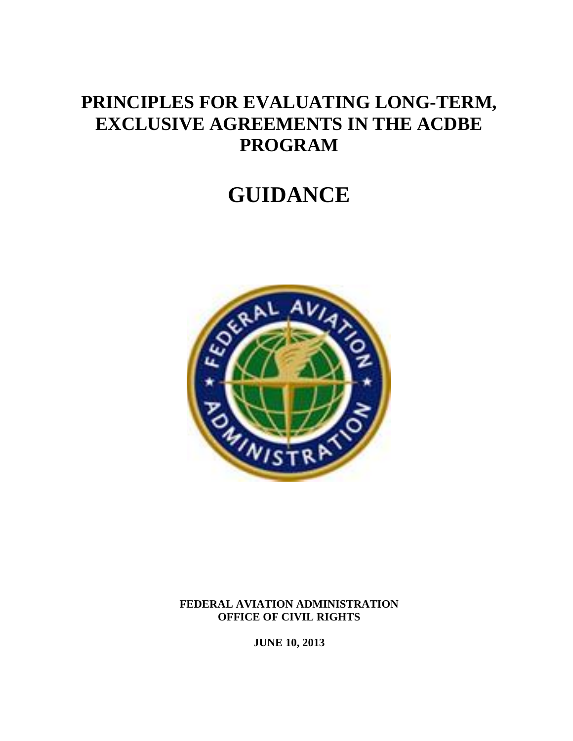## **PRINCIPLES FOR EVALUATING LONG-TERM, EXCLUSIVE AGREEMENTS IN THE ACDBE PROGRAM**

# **GUIDANCE**



**FEDERAL AVIATION ADMINISTRATION OFFICE OF CIVIL RIGHTS**

**JUNE 10, 2013**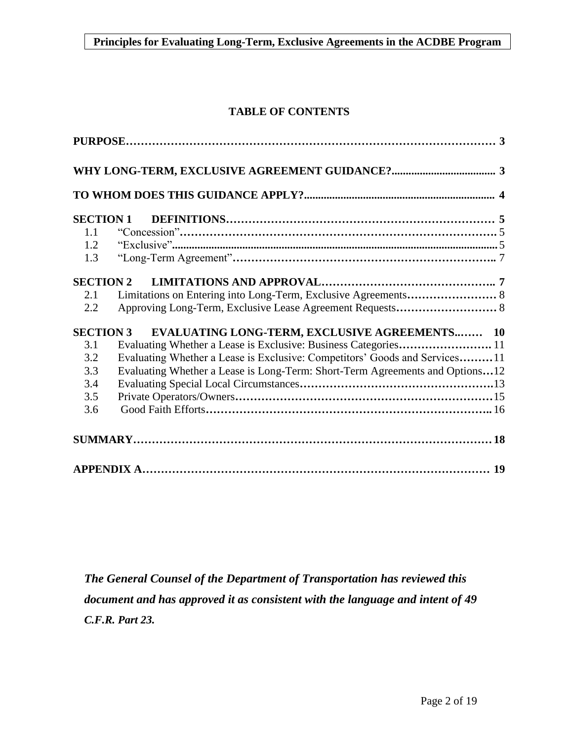### **TABLE OF CONTENTS**

| <b>SECTION 1</b> |                                                                              |  |
|------------------|------------------------------------------------------------------------------|--|
| 1.1              |                                                                              |  |
| 1.2              |                                                                              |  |
| 1.3              |                                                                              |  |
| <b>SECTION 2</b> |                                                                              |  |
| 2.1              |                                                                              |  |
| 2.2              |                                                                              |  |
| <b>SECTION 3</b> | EVALUATING LONG-TERM, EXCLUSIVE AGREEMENTS 10                                |  |
| 3.1              |                                                                              |  |
| 3.2              | Evaluating Whether a Lease is Exclusive: Competitors' Goods and Services11   |  |
| 3.3              | Evaluating Whether a Lease is Long-Term: Short-Term Agreements and Options12 |  |
| 3.4              |                                                                              |  |
| 3.5              |                                                                              |  |
| 3.6              |                                                                              |  |
|                  |                                                                              |  |
|                  |                                                                              |  |

*The General Counsel of the Department of Transportation has reviewed this document and has approved it as consistent with the language and intent of 49 C.F.R. Part 23.*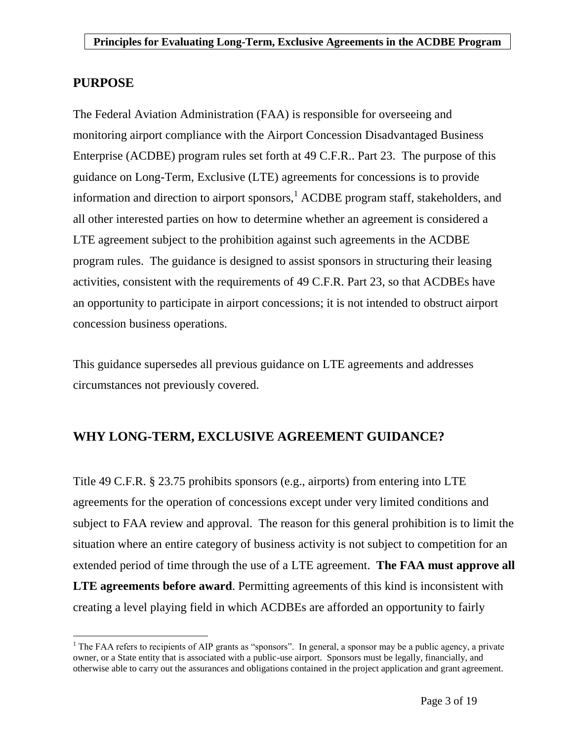### <span id="page-2-0"></span>**PURPOSE**

 $\overline{a}$ 

The Federal Aviation Administration (FAA) is responsible for overseeing and monitoring airport compliance with the Airport Concession Disadvantaged Business Enterprise (ACDBE) program rules set forth at 49 C.F.R.. Part 23. The purpose of this guidance on Long-Term, Exclusive (LTE) agreements for concessions is to provide information and direction to airport sponsors, <sup>1</sup> ACDBE program staff, stakeholders, and all other interested parties on how to determine whether an agreement is considered a LTE agreement subject to the prohibition against such agreements in the ACDBE program rules. The guidance is designed to assist sponsors in structuring their leasing activities, consistent with the requirements of 49 C.F.R. Part 23, so that ACDBEs have an opportunity to participate in airport concessions; it is not intended to obstruct airport concession business operations.

This guidance supersedes all previous guidance on LTE agreements and addresses circumstances not previously covered.

### <span id="page-2-1"></span>**WHY LONG-TERM, EXCLUSIVE AGREEMENT GUIDANCE?**

Title 49 C.F.R. § 23.75 prohibits sponsors (e.g., airports) from entering into LTE agreements for the operation of concessions except under very limited conditions and subject to FAA review and approval. The reason for this general prohibition is to limit the situation where an entire category of business activity is not subject to competition for an extended period of time through the use of a LTE agreement. **The FAA must approve all LTE agreements before award**. Permitting agreements of this kind is inconsistent with creating a level playing field in which ACDBEs are afforded an opportunity to fairly

 $<sup>1</sup>$  The FAA refers to recipients of AIP grants as "sponsors". In general, a sponsor may be a public agency, a private</sup> owner, or a State entity that is associated with a public-use airport. Sponsors must be legally, financially, and otherwise able to carry out the assurances and obligations contained in the project application and grant agreement.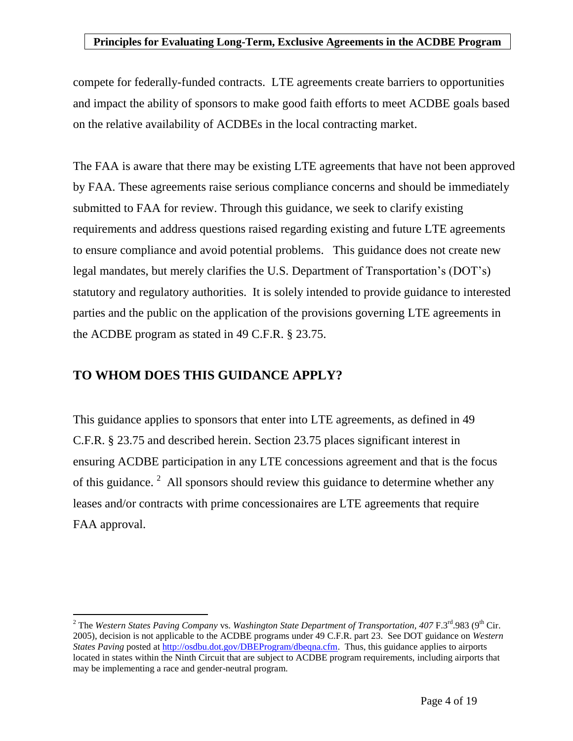compete for federally-funded contracts. LTE agreements create barriers to opportunities and impact the ability of sponsors to make good faith efforts to meet ACDBE goals based on the relative availability of ACDBEs in the local contracting market.

The FAA is aware that there may be existing LTE agreements that have not been approved by FAA. These agreements raise serious compliance concerns and should be immediately submitted to FAA for review. Through this guidance, we seek to clarify existing requirements and address questions raised regarding existing and future LTE agreements to ensure compliance and avoid potential problems. This guidance does not create new legal mandates, but merely clarifies the U.S. Department of Transportation's (DOT's) statutory and regulatory authorities. It is solely intended to provide guidance to interested parties and the public on the application of the provisions governing LTE agreements in the ACDBE program as stated in 49 C.F.R. § 23.75.

### <span id="page-3-0"></span>**TO WHOM DOES THIS GUIDANCE APPLY?**

 $\overline{a}$ 

This guidance applies to sponsors that enter into LTE agreements, as defined in 49 C.F.R. § 23.75 and described herein. Section 23.75 places significant interest in ensuring ACDBE participation in any LTE concessions agreement and that is the focus of this guidance.<sup>2</sup> All sponsors should review this guidance to determine whether any leases and/or contracts with prime concessionaires are LTE agreements that require FAA approval.

<sup>&</sup>lt;sup>2</sup> The *Western States Paving Company* vs. *Washington State Department of Transportation, 407* F.3<sup>rd</sup>.983 (9<sup>th</sup> Cir. 2005), decision is not applicable to the ACDBE programs under 49 C.F.R. part 23. See DOT guidance on *Western States Paving* posted a[t http://osdbu.dot.gov/DBEProgram/dbeqna.cfm.](http://osdbu.dot.gov/DBEProgram/dbeqna.cfm) Thus, this guidance applies to airports located in states within the Ninth Circuit that are subject to ACDBE program requirements, including airports that may be implementing a race and gender-neutral program.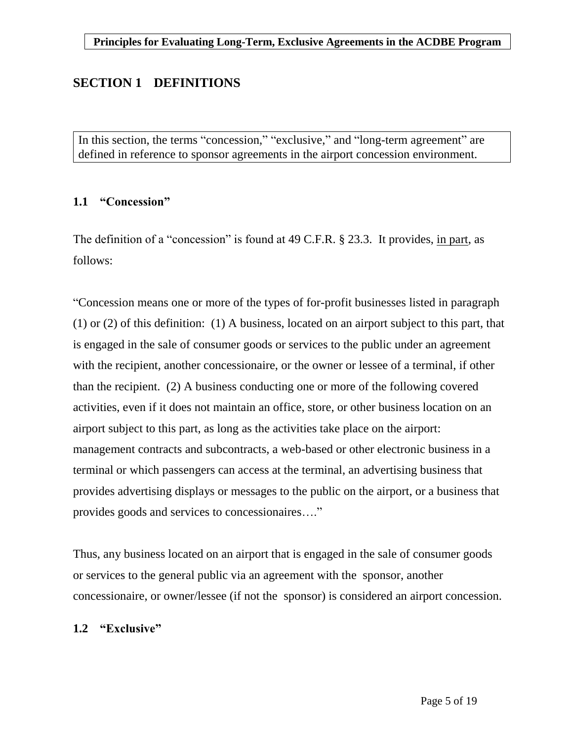### <span id="page-4-0"></span>**SECTION 1 DEFINITIONS**

In this section, the terms "concession," "exclusive," and "long-term agreement" are defined in reference to sponsor agreements in the airport concession environment.

### <span id="page-4-1"></span>**1.1 "Concession"**

The definition of a "concession" is found at 49 C.F.R. § 23.3. It provides, in part, as follows:

"Concession means one or more of the types of for-profit businesses listed in paragraph (1) or (2) of this definition: (1) A business, located on an airport subject to this part, that is engaged in the sale of consumer goods or services to the public under an agreement with the recipient, another concessionaire, or the owner or lessee of a terminal, if other than the recipient. (2) A business conducting one or more of the following covered activities, even if it does not maintain an office, store, or other business location on an airport subject to this part, as long as the activities take place on the airport: management contracts and subcontracts, a web-based or other electronic business in a terminal or which passengers can access at the terminal, an advertising business that provides advertising displays or messages to the public on the airport, or a business that provides goods and services to concessionaires…."

Thus, any business located on an airport that is engaged in the sale of consumer goods or services to the general public via an agreement with the sponsor, another concessionaire, or owner/lessee (if not the sponsor) is considered an airport concession.

### <span id="page-4-2"></span>**1.2 "Exclusive"**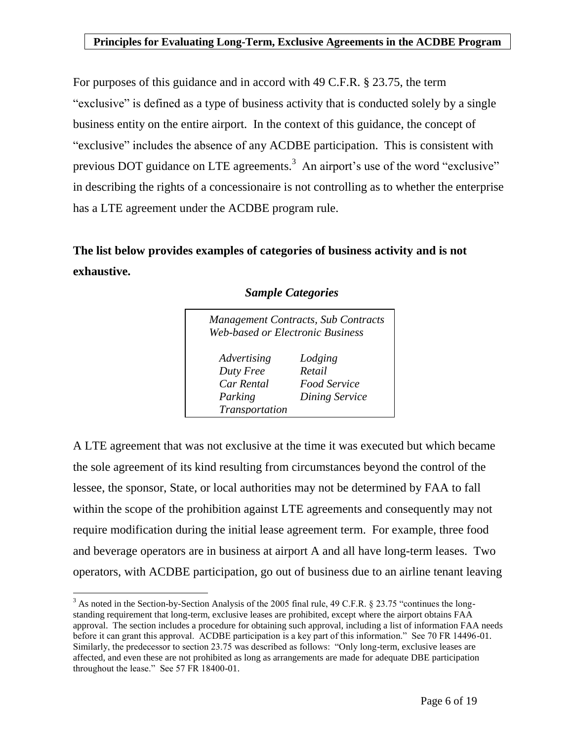For purposes of this guidance and in accord with 49 C.F.R. § 23.75, the term "exclusive" is defined as a type of business activity that is conducted solely by a single business entity on the entire airport. In the context of this guidance, the concept of "exclusive" includes the absence of any ACDBE participation. This is consistent with previous DOT guidance on LTE agreements.<sup>3</sup> An airport's use of the word "exclusive" in describing the rights of a concessionaire is not controlling as to whether the enterprise has a LTE agreement under the ACDBE program rule.

**The list below provides examples of categories of business activity and is not exhaustive.**

| Web-based or Electronic Business | <b>Management Contracts, Sub Contracts</b> |
|----------------------------------|--------------------------------------------|
| Advertising                      | Lodging                                    |
| Duty Free                        | Retail                                     |
| Car Rental                       | <b>Food Service</b>                        |
| Parking                          | <b>Dining Service</b>                      |
| Transportation                   |                                            |

### *Sample Categories*

A LTE agreement that was not exclusive at the time it was executed but which became the sole agreement of its kind resulting from circumstances beyond the control of the lessee, the sponsor, State, or local authorities may not be determined by FAA to fall within the scope of the prohibition against LTE agreements and consequently may not require modification during the initial lease agreement term. For example, three food and beverage operators are in business at airport A and all have long-term leases. Two operators, with ACDBE participation, go out of business due to an airline tenant leaving

 $\overline{a}$ 

<sup>&</sup>lt;sup>3</sup> As noted in the Section-by-Section Analysis of the 2005 final rule, 49 C.F.R. § 23.75 "continues the longstanding requirement that long-term, exclusive leases are prohibited, except where the airport obtains FAA approval. The section includes a procedure for obtaining such approval, including a list of information FAA needs before it can grant this approval. ACDBE participation is a key part of this information." See 70 FR 14496-01. Similarly, the predecessor to section 23.75 was described as follows: "Only long-term, exclusive leases are affected, and even these are not prohibited as long as arrangements are made for adequate DBE participation throughout the lease." See 57 FR 18400-01.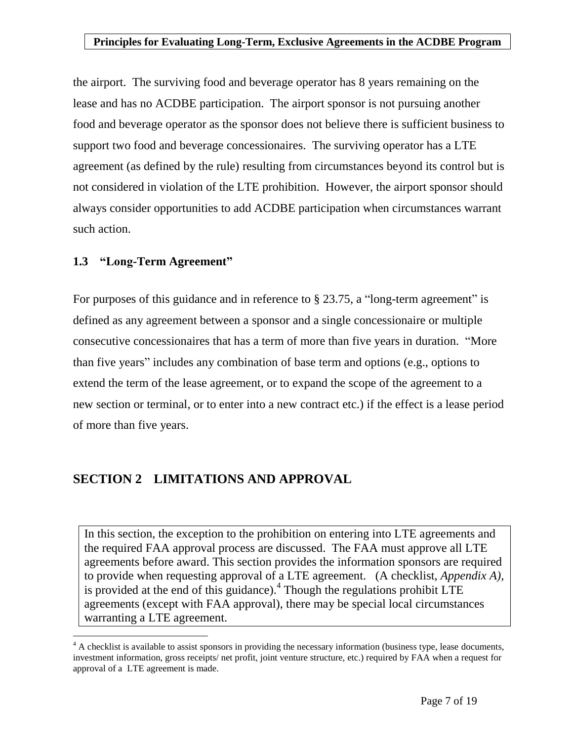the airport. The surviving food and beverage operator has 8 years remaining on the lease and has no ACDBE participation. The airport sponsor is not pursuing another food and beverage operator as the sponsor does not believe there is sufficient business to support two food and beverage concessionaires. The surviving operator has a LTE agreement (as defined by the rule) resulting from circumstances beyond its control but is not considered in violation of the LTE prohibition. However, the airport sponsor should always consider opportunities to add ACDBE participation when circumstances warrant such action.

### <span id="page-6-0"></span>**1.3 "Long-Term Agreement"**

 $\overline{a}$ 

For purposes of this guidance and in reference to § 23.75, a "long-term agreement" is defined as any agreement between a sponsor and a single concessionaire or multiple consecutive concessionaires that has a term of more than five years in duration. "More than five years" includes any combination of base term and options (e.g., options to extend the term of the lease agreement, or to expand the scope of the agreement to a new section or terminal, or to enter into a new contract etc.) if the effect is a lease period of more than five years.

### <span id="page-6-1"></span>**SECTION 2 LIMITATIONS AND APPROVAL**

In this section, the exception to the prohibition on entering into LTE agreements and the required FAA approval process are discussed. The FAA must approve all LTE agreements before award. This section provides the information sponsors are required to provide when requesting approval of a LTE agreement. (A checklist, *Appendix A),* is provided at the end of this guidance). $4$  Though the regulations prohibit LTE agreements (except with FAA approval), there may be special local circumstances warranting a LTE agreement.

<sup>&</sup>lt;sup>4</sup> A checklist is available to assist sponsors in providing the necessary information (business type, lease documents, investment information, gross receipts/ net profit, joint venture structure, etc.) required by FAA when a request for approval of a LTE agreement is made.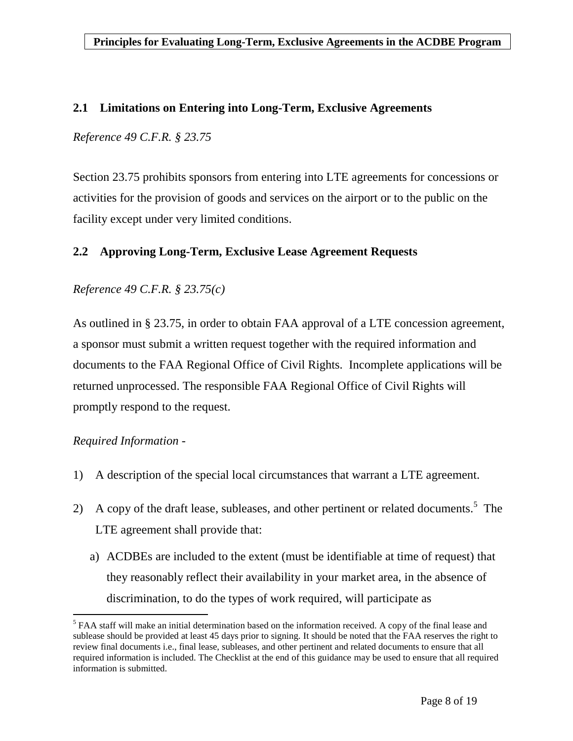### <span id="page-7-0"></span>**2.1 Limitations on Entering into Long-Term, Exclusive Agreements**

*Reference 49 C.F.R. § 23.75*

Section 23.75 prohibits sponsors from entering into LTE agreements for concessions or activities for the provision of goods and services on the airport or to the public on the facility except under very limited conditions.

### <span id="page-7-1"></span>**2.2 Approving Long-Term, Exclusive Lease Agreement Requests**

### *Reference 49 C.F.R. § 23.75(c)*

As outlined in § 23.75, in order to obtain FAA approval of a LTE concession agreement, a sponsor must submit a written request together with the required information and documents to the FAA Regional Office of Civil Rights. Incomplete applications will be returned unprocessed. The responsible FAA Regional Office of Civil Rights will promptly respond to the request.

### *Required Information -*

 $\overline{a}$ 

- 1) A description of the special local circumstances that warrant a LTE agreement.
- 2) A copy of the draft lease, subleases, and other pertinent or related documents.<sup>5</sup> The LTE agreement shall provide that:
	- a) ACDBEs are included to the extent (must be identifiable at time of request) that they reasonably reflect their availability in your market area, in the absence of discrimination, to do the types of work required, will participate as

 $<sup>5</sup>$  FAA staff will make an initial determination based on the information received. A copy of the final lease and</sup> sublease should be provided at least 45 days prior to signing. It should be noted that the FAA reserves the right to review final documents i.e., final lease, subleases, and other pertinent and related documents to ensure that all required information is included. The Checklist at the end of this guidance may be used to ensure that all required information is submitted.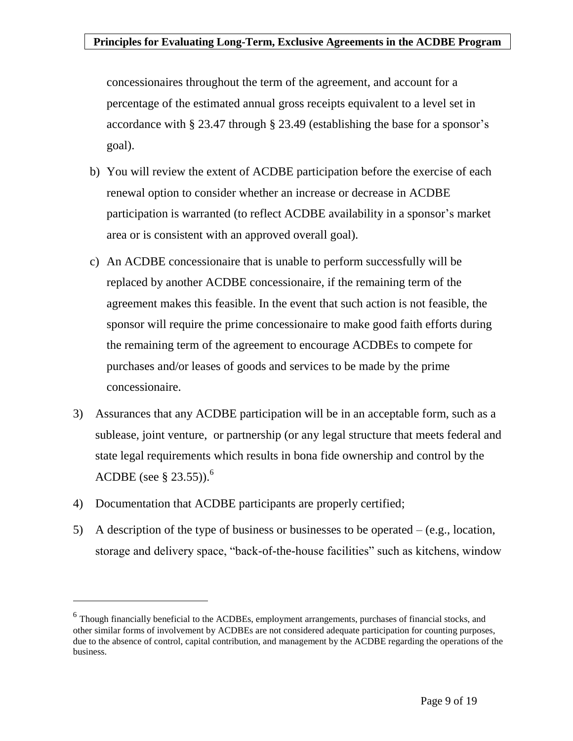concessionaires throughout the term of the agreement, and account for a percentage of the estimated annual gross receipts equivalent to a level set in accordance with § 23.47 through § 23.49 (establishing the base for a sponsor's goal).

- b) You will review the extent of ACDBE participation before the exercise of each renewal option to consider whether an increase or decrease in ACDBE participation is warranted (to reflect ACDBE availability in a sponsor's market area or is consistent with an approved overall goal).
- c) An ACDBE concessionaire that is unable to perform successfully will be replaced by another ACDBE concessionaire, if the remaining term of the agreement makes this feasible. In the event that such action is not feasible, the sponsor will require the prime concessionaire to make good faith efforts during the remaining term of the agreement to encourage ACDBEs to compete for purchases and/or leases of goods and services to be made by the prime concessionaire.
- 3) Assurances that any ACDBE participation will be in an acceptable form, such as a sublease, joint venture, or partnership (or any legal structure that meets federal and state legal requirements which results in bona fide ownership and control by the ACDBE (see  $\S 23.55$ )).<sup>6</sup>
- 4) Documentation that ACDBE participants are properly certified;

 $\overline{a}$ 

5) A description of the type of business or businesses to be operated – (e.g., location, storage and delivery space, "back-of-the-house facilities" such as kitchens, window

<sup>&</sup>lt;sup>6</sup> Though financially beneficial to the ACDBEs, employment arrangements, purchases of financial stocks, and other similar forms of involvement by ACDBEs are not considered adequate participation for counting purposes, due to the absence of control, capital contribution, and management by the ACDBE regarding the operations of the business.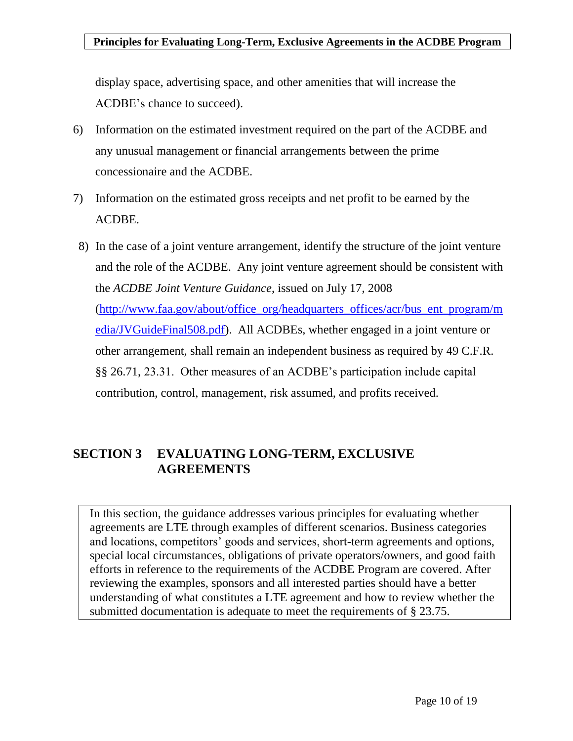display space, advertising space, and other amenities that will increase the ACDBE's chance to succeed).

- 6) Information on the estimated investment required on the part of the ACDBE and any unusual management or financial arrangements between the prime concessionaire and the ACDBE.
- 7) Information on the estimated gross receipts and net profit to be earned by the ACDBE.
- 8) In the case of a joint venture arrangement, identify the structure of the joint venture and the role of the ACDBE. Any joint venture agreement should be consistent with the *ACDBE Joint Venture Guidance*, issued on July 17, 2008 [\(http://www.faa.gov/about/office\\_org/headquarters\\_offices/acr/bus\\_ent\\_program/m](http://www.faa.gov/about/office_org/headquarters_offices/acr/bus_ent_program/media/JVGuideFinal508.pdf) [edia/JVGuideFinal508.pdf\)](http://www.faa.gov/about/office_org/headquarters_offices/acr/bus_ent_program/media/JVGuideFinal508.pdf). All ACDBEs, whether engaged in a joint venture or other arrangement, shall remain an independent business as required by 49 C.F.R. §§ 26.71, 23.31. Other measures of an ACDBE's participation include capital contribution, control, management, risk assumed, and profits received.

### <span id="page-9-0"></span>**SECTION 3 EVALUATING LONG-TERM, EXCLUSIVE AGREEMENTS**

In this section, the guidance addresses various principles for evaluating whether agreements are LTE through examples of different scenarios. Business categories and locations, competitors' goods and services, short-term agreements and options, special local circumstances, obligations of private operators/owners, and good faith efforts in reference to the requirements of the ACDBE Program are covered. After reviewing the examples, sponsors and all interested parties should have a better understanding of what constitutes a LTE agreement and how to review whether the submitted documentation is adequate to meet the requirements of § 23.75.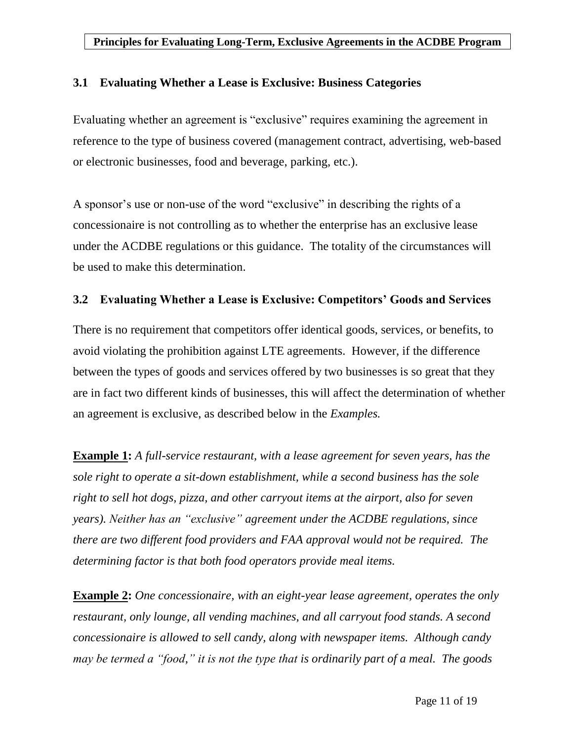### <span id="page-10-0"></span>**3.1 Evaluating Whether a Lease is Exclusive: Business Categories**

Evaluating whether an agreement is "exclusive" requires examining the agreement in reference to the type of business covered (management contract, advertising, web-based or electronic businesses, food and beverage, parking, etc.).

A sponsor's use or non-use of the word "exclusive" in describing the rights of a concessionaire is not controlling as to whether the enterprise has an exclusive lease under the ACDBE regulations or this guidance. The totality of the circumstances will be used to make this determination.

### <span id="page-10-1"></span>**3.2 Evaluating Whether a Lease is Exclusive: Competitors' Goods and Services**

There is no requirement that competitors offer identical goods, services, or benefits, to avoid violating the prohibition against LTE agreements. However, if the difference between the types of goods and services offered by two businesses is so great that they are in fact two different kinds of businesses, this will affect the determination of whether an agreement is exclusive, as described below in the *Examples.*

**Example 1:** *A full-service restaurant, with a lease agreement for seven years, has the sole right to operate a sit-down establishment, while a second business has the sole right to sell hot dogs, pizza, and other carryout items at the airport, also for seven years). Neither has an "exclusive" agreement under the ACDBE regulations, since there are two different food providers and FAA approval would not be required. The determining factor is that both food operators provide meal items.*

**Example 2:** *One concessionaire, with an eight-year lease agreement, operates the only restaurant, only lounge, all vending machines, and all carryout food stands. A second concessionaire is allowed to sell candy, along with newspaper items. Although candy may be termed a "food," it is not the type that is ordinarily part of a meal. The goods*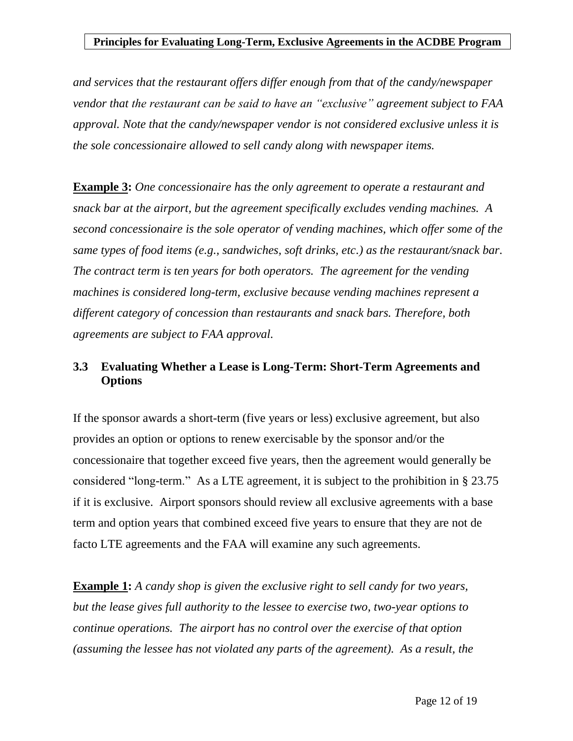*and services that the restaurant offers differ enough from that of the candy/newspaper vendor that the restaurant can be said to have an "exclusive" agreement subject to FAA approval. Note that the candy/newspaper vendor is not considered exclusive unless it is the sole concessionaire allowed to sell candy along with newspaper items.*

**Example 3:** *One concessionaire has the only agreement to operate a restaurant and snack bar at the airport, but the agreement specifically excludes vending machines. A second concessionaire is the sole operator of vending machines, which offer some of the same types of food items (e.g., sandwiches, soft drinks, etc.) as the restaurant/snack bar. The contract term is ten years for both operators. The agreement for the vending machines is considered long-term, exclusive because vending machines represent a different category of concession than restaurants and snack bars. Therefore, both agreements are subject to FAA approval.*

### <span id="page-11-0"></span>**3.3 Evaluating Whether a Lease is Long-Term: Short-Term Agreements and Options**

If the sponsor awards a short-term (five years or less) exclusive agreement, but also provides an option or options to renew exercisable by the sponsor and/or the concessionaire that together exceed five years, then the agreement would generally be considered "long-term." As a LTE agreement, it is subject to the prohibition in § 23.75 if it is exclusive. Airport sponsors should review all exclusive agreements with a base term and option years that combined exceed five years to ensure that they are not de facto LTE agreements and the FAA will examine any such agreements.

**Example 1:** *A candy shop is given the exclusive right to sell candy for two years, but the lease gives full authority to the lessee to exercise two, two-year options to continue operations. The airport has no control over the exercise of that option (assuming the lessee has not violated any parts of the agreement). As a result, the*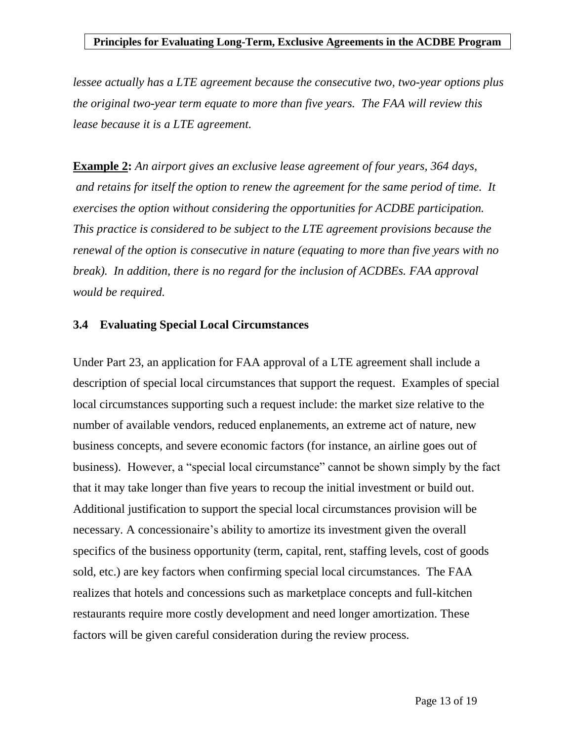*lessee actually has a LTE agreement because the consecutive two, two-year options plus the original two-year term equate to more than five years. The FAA will review this lease because it is a LTE agreement.* 

**Example 2:** *An airport gives an exclusive lease agreement of four years, 364 days, and retains for itself the option to renew the agreement for the same period of time. It exercises the option without considering the opportunities for ACDBE participation. This practice is considered to be subject to the LTE agreement provisions because the renewal of the option is consecutive in nature (equating to more than five years with no break). In addition, there is no regard for the inclusion of ACDBEs. FAA approval would be required.*

### <span id="page-12-0"></span>**3.4 Evaluating Special Local Circumstances**

Under Part 23, an application for FAA approval of a LTE agreement shall include a description of special local circumstances that support the request. Examples of special local circumstances supporting such a request include: the market size relative to the number of available vendors, reduced enplanements, an extreme act of nature, new business concepts, and severe economic factors (for instance, an airline goes out of business). However, a "special local circumstance" cannot be shown simply by the fact that it may take longer than five years to recoup the initial investment or build out. Additional justification to support the special local circumstances provision will be necessary. A concessionaire's ability to amortize its investment given the overall specifics of the business opportunity (term, capital, rent, staffing levels, cost of goods sold, etc.) are key factors when confirming special local circumstances. The FAA realizes that hotels and concessions such as marketplace concepts and full-kitchen restaurants require more costly development and need longer amortization. These factors will be given careful consideration during the review process.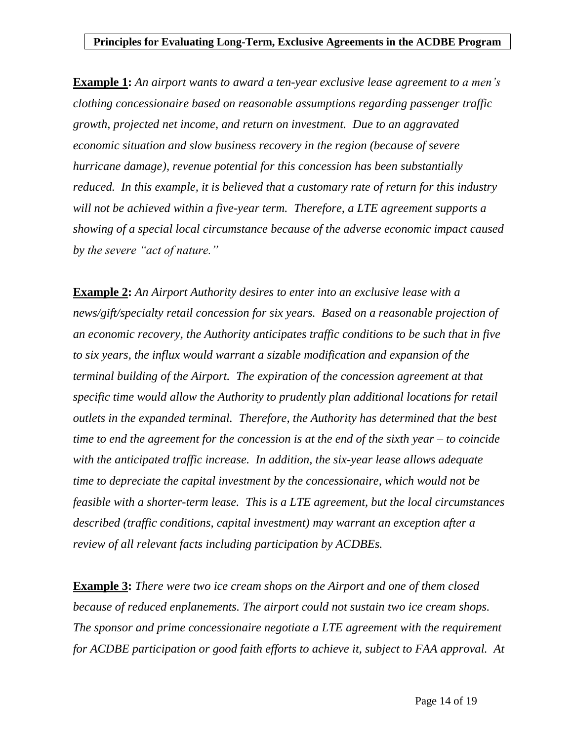**Example 1:** *An airport wants to award a ten-year exclusive lease agreement to a men's clothing concessionaire based on reasonable assumptions regarding passenger traffic growth, projected net income, and return on investment. Due to an aggravated economic situation and slow business recovery in the region (because of severe hurricane damage), revenue potential for this concession has been substantially reduced. In this example, it is believed that a customary rate of return for this industry will not be achieved within a five-year term. Therefore, a LTE agreement supports a showing of a special local circumstance because of the adverse economic impact caused by the severe "act of nature."*

**Example 2:** *An Airport Authority desires to enter into an exclusive lease with a news/gift/specialty retail concession for six years. Based on a reasonable projection of an economic recovery, the Authority anticipates traffic conditions to be such that in five to six years, the influx would warrant a sizable modification and expansion of the terminal building of the Airport. The expiration of the concession agreement at that specific time would allow the Authority to prudently plan additional locations for retail outlets in the expanded terminal. Therefore, the Authority has determined that the best time to end the agreement for the concession is at the end of the sixth year – to coincide with the anticipated traffic increase. In addition, the six-year lease allows adequate time to depreciate the capital investment by the concessionaire, which would not be feasible with a shorter-term lease. This is a LTE agreement, but the local circumstances described (traffic conditions, capital investment) may warrant an exception after a review of all relevant facts including participation by ACDBEs.* 

**Example 3:** *There were two ice cream shops on the Airport and one of them closed because of reduced enplanements. The airport could not sustain two ice cream shops. The sponsor and prime concessionaire negotiate a LTE agreement with the requirement for ACDBE participation or good faith efforts to achieve it, subject to FAA approval. At*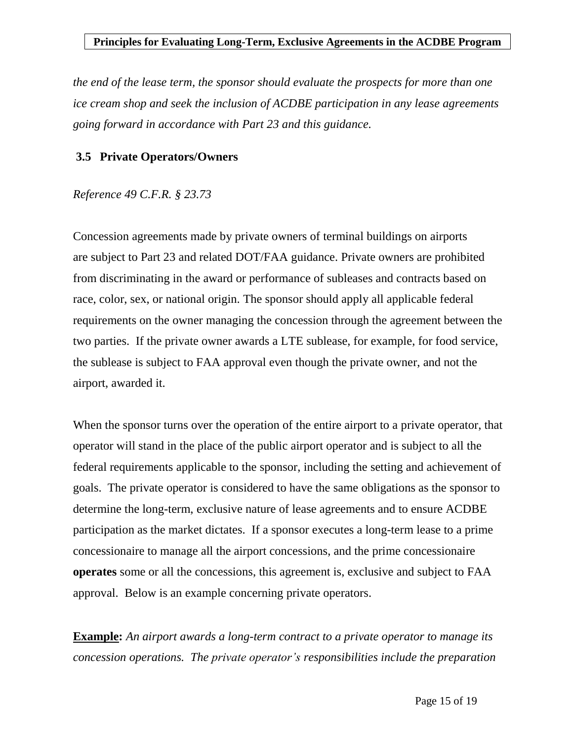*the end of the lease term, the sponsor should evaluate the prospects for more than one ice cream shop and seek the inclusion of ACDBE participation in any lease agreements going forward in accordance with Part 23 and this guidance.*

#### <span id="page-14-0"></span>**3.5 Private Operators/Owners**

#### *Reference 49 C.F.R. § 23.73*

Concession agreements made by private owners of terminal buildings on airports are subject to Part 23 and related DOT/FAA guidance. Private owners are prohibited from discriminating in the award or performance of subleases and contracts based on race, color, sex, or national origin. The sponsor should apply all applicable federal requirements on the owner managing the concession through the agreement between the two parties. If the private owner awards a LTE sublease, for example, for food service, the sublease is subject to FAA approval even though the private owner, and not the airport, awarded it.

When the sponsor turns over the operation of the entire airport to a private operator, that operator will stand in the place of the public airport operator and is subject to all the federal requirements applicable to the sponsor, including the setting and achievement of goals. The private operator is considered to have the same obligations as the sponsor to determine the long-term, exclusive nature of lease agreements and to ensure ACDBE participation as the market dictates. If a sponsor executes a long-term lease to a prime concessionaire to manage all the airport concessions, and the prime concessionaire **operates** some or all the concessions, this agreement is, exclusive and subject to FAA approval. Below is an example concerning private operators.

**Example:** *An airport awards a long-term contract to a private operator to manage its concession operations. The private operator's responsibilities include the preparation*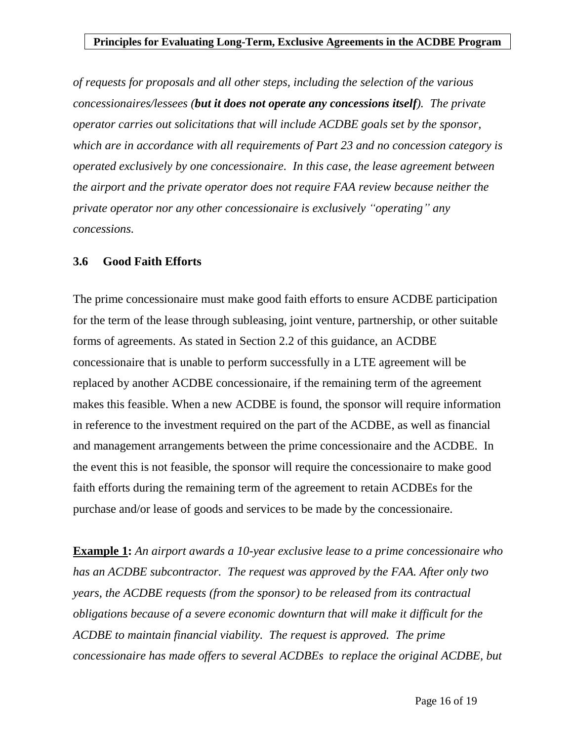*of requests for proposals and all other steps, including the selection of the various concessionaires/lessees (but it does not operate any concessions itself). The private operator carries out solicitations that will include ACDBE goals set by the sponsor, which are in accordance with all requirements of Part 23 and no concession category is operated exclusively by one concessionaire. In this case, the lease agreement between the airport and the private operator does not require FAA review because neither the private operator nor any other concessionaire is exclusively "operating" any concessions.* 

#### <span id="page-15-0"></span>**3.6 Good Faith Efforts**

The prime concessionaire must make good faith efforts to ensure ACDBE participation for the term of the lease through subleasing, joint venture, partnership, or other suitable forms of agreements. As stated in Section 2.2 of this guidance, an ACDBE concessionaire that is unable to perform successfully in a LTE agreement will be replaced by another ACDBE concessionaire, if the remaining term of the agreement makes this feasible. When a new ACDBE is found, the sponsor will require information in reference to the investment required on the part of the ACDBE, as well as financial and management arrangements between the prime concessionaire and the ACDBE. In the event this is not feasible, the sponsor will require the concessionaire to make good faith efforts during the remaining term of the agreement to retain ACDBEs for the purchase and/or lease of goods and services to be made by the concessionaire.

**Example 1:** *An airport awards a 10-year exclusive lease to a prime concessionaire who has an ACDBE subcontractor. The request was approved by the FAA. After only two years, the ACDBE requests (from the sponsor) to be released from its contractual obligations because of a severe economic downturn that will make it difficult for the ACDBE to maintain financial viability. The request is approved. The prime concessionaire has made offers to several ACDBEs to replace the original ACDBE, but*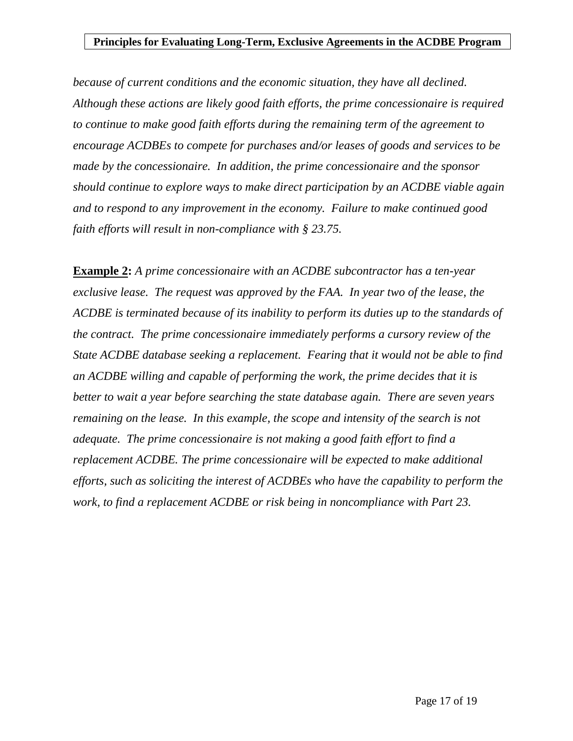*because of current conditions and the economic situation, they have all declined. Although these actions are likely good faith efforts, the prime concessionaire is required to continue to make good faith efforts during the remaining term of the agreement to encourage ACDBEs to compete for purchases and/or leases of goods and services to be made by the concessionaire. In addition, the prime concessionaire and the sponsor should continue to explore ways to make direct participation by an ACDBE viable again and to respond to any improvement in the economy. Failure to make continued good faith efforts will result in non-compliance with § 23.75.*

<span id="page-16-0"></span>**Example 2:** *A prime concessionaire with an ACDBE subcontractor has a ten-year exclusive lease. The request was approved by the FAA. In year two of the lease, the ACDBE is terminated because of its inability to perform its duties up to the standards of the contract. The prime concessionaire immediately performs a cursory review of the State ACDBE database seeking a replacement. Fearing that it would not be able to find an ACDBE willing and capable of performing the work, the prime decides that it is better to wait a year before searching the state database again. There are seven years remaining on the lease. In this example, the scope and intensity of the search is not adequate. The prime concessionaire is not making a good faith effort to find a replacement ACDBE. The prime concessionaire will be expected to make additional efforts, such as soliciting the interest of ACDBEs who have the capability to perform the work, to find a replacement ACDBE or risk being in noncompliance with Part 23.*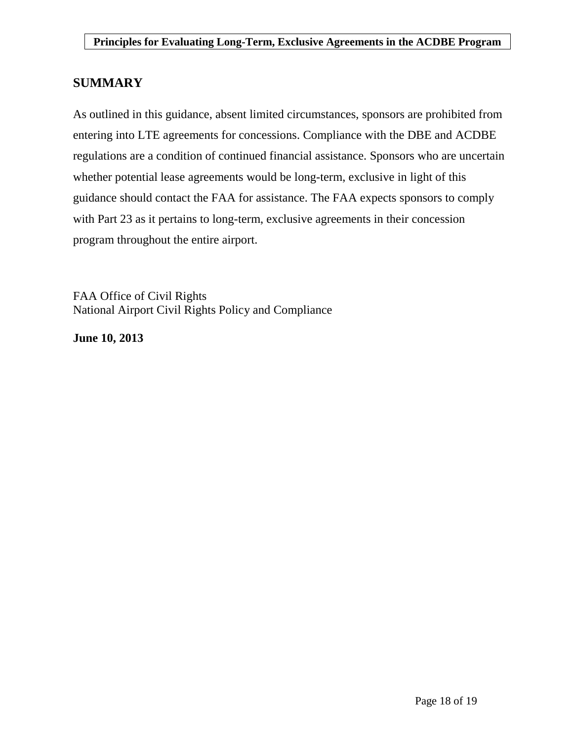### **SUMMARY**

As outlined in this guidance, absent limited circumstances, sponsors are prohibited from entering into LTE agreements for concessions. Compliance with the DBE and ACDBE regulations are a condition of continued financial assistance. Sponsors who are uncertain whether potential lease agreements would be long-term, exclusive in light of this guidance should contact the FAA for assistance. The FAA expects sponsors to comply with Part 23 as it pertains to long-term, exclusive agreements in their concession program throughout the entire airport.

FAA Office of Civil Rights National Airport Civil Rights Policy and Compliance

<span id="page-17-0"></span>**June 10, 2013**